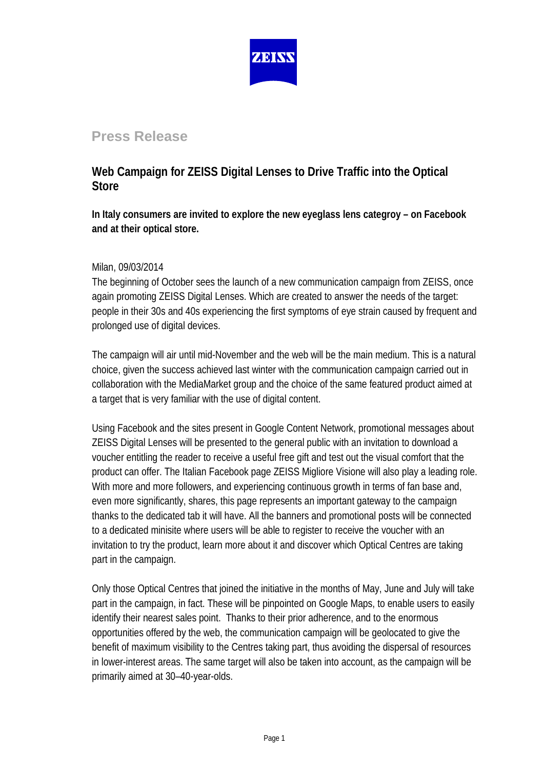

# **Press Release**

## **Web Campaign for ZEISS Digital Lenses to Drive Traffic into the Optical Store**

**In Italy consumers are invited to explore the new eyeglass lens categroy – on Facebook and at their optical store.** 

### Milan, 09/03/2014

The beginning of October sees the launch of a new communication campaign from ZEISS, once again promoting ZEISS Digital Lenses. Which are created to answer the needs of the target: people in their 30s and 40s experiencing the first symptoms of eye strain caused by frequent and prolonged use of digital devices.

The campaign will air until mid-November and the web will be the main medium. This is a natural choice, given the success achieved last winter with the communication campaign carried out in collaboration with the MediaMarket group and the choice of the same featured product aimed at a target that is very familiar with the use of digital content.

Using Facebook and the sites present in Google Content Network, promotional messages about ZEISS Digital Lenses will be presented to the general public with an invitation to download a voucher entitling the reader to receive a useful free gift and test out the visual comfort that the product can offer. The Italian Facebook page ZEISS Migliore Visione will also play a leading role. With more and more followers, and experiencing continuous growth in terms of fan base and, even more significantly, shares, this page represents an important gateway to the campaign thanks to the dedicated tab it will have. All the banners and promotional posts will be connected to a dedicated minisite where users will be able to register to receive the voucher with an invitation to try the product, learn more about it and discover which Optical Centres are taking part in the campaign.

Only those Optical Centres that joined the initiative in the months of May, June and July will take part in the campaign, in fact. These will be pinpointed on Google Maps, to enable users to easily identify their nearest sales point. Thanks to their prior adherence, and to the enormous opportunities offered by the web, the communication campaign will be geolocated to give the benefit of maximum visibility to the Centres taking part, thus avoiding the dispersal of resources in lower-interest areas. The same target will also be taken into account, as the campaign will be primarily aimed at 30–40-year-olds.